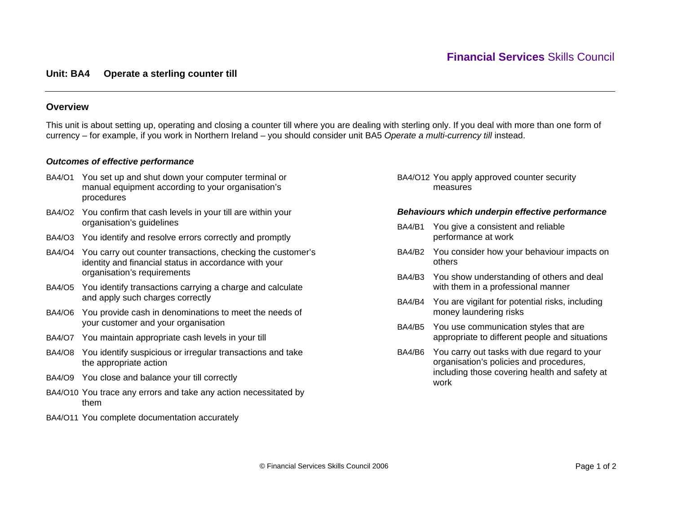# **Unit: BA4 Operate a sterling counter till**

# **Overview**

This unit is about setting up, operating and closing a counter till where you are dealing with sterling only. If you deal with more than one form of currency – for example, if you work in Northern Ireland – you should consider unit BA5 *Operate a multi-currency till* instead.

# *Outcomes of effective performance*

- BA4/O1 You set up and shut down your computer terminal or manual equipment according to your organisation's procedures
- BA4/O2 You confirm that cash levels in your till are within your organisation's guidelines
- BA4/O3 You identify and resolve errors correctly and promptly
- BA4/O4 You carry out counter transactions, checking the customer's identity and financial status in accordance with your organisation's requirements
- BA4/O5 You identify transactions carrying a charge and calculate and apply such charges correctly
- BA4/O6 You provide cash in denominations to meet the needs of your customer and your organisation
- BA4/O7 You maintain appropriate cash levels in your till
- BA4/O8 You identify suspicious or irregular transactions and take the appropriate action
- BA4/O9 You close and balance your till correctly
- BA4/O10 You trace any errors and take any action necessitated by them
- BA4/O11 You complete documentation accurately

BA4/O12 You apply approved counter security measures

#### *Behaviours which underpin effective performance*

- BA4/B1 You give a consistent and reliable performance at work
- BA4/B2 You consider how your behaviour impacts on others
- BA4/B3 You show understanding of others and deal with them in a professional manner
- BA4/B4 You are vigilant for potential risks, including money laundering risks
- BA4/B5 You use communication styles that are appropriate to different people and situations
- BA4/B6 You carry out tasks with due regard to your organisation's policies and procedures, including those covering health and safety at work